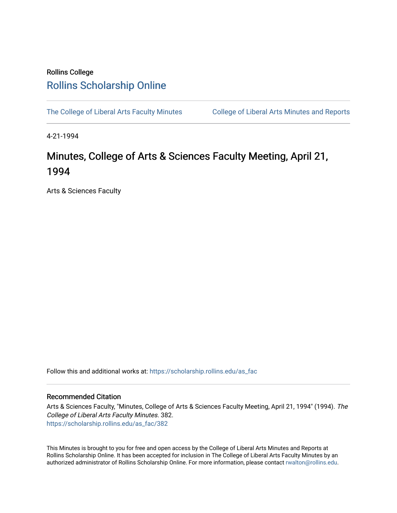## Rollins College [Rollins Scholarship Online](https://scholarship.rollins.edu/)

[The College of Liberal Arts Faculty Minutes](https://scholarship.rollins.edu/as_fac) College of Liberal Arts Minutes and Reports

4-21-1994

# Minutes, College of Arts & Sciences Faculty Meeting, April 21, 1994

Arts & Sciences Faculty

Follow this and additional works at: [https://scholarship.rollins.edu/as\\_fac](https://scholarship.rollins.edu/as_fac?utm_source=scholarship.rollins.edu%2Fas_fac%2F382&utm_medium=PDF&utm_campaign=PDFCoverPages) 

### Recommended Citation

Arts & Sciences Faculty, "Minutes, College of Arts & Sciences Faculty Meeting, April 21, 1994" (1994). The College of Liberal Arts Faculty Minutes. 382. [https://scholarship.rollins.edu/as\\_fac/382](https://scholarship.rollins.edu/as_fac/382?utm_source=scholarship.rollins.edu%2Fas_fac%2F382&utm_medium=PDF&utm_campaign=PDFCoverPages) 

This Minutes is brought to you for free and open access by the College of Liberal Arts Minutes and Reports at Rollins Scholarship Online. It has been accepted for inclusion in The College of Liberal Arts Faculty Minutes by an authorized administrator of Rollins Scholarship Online. For more information, please contact [rwalton@rollins.edu](mailto:rwalton@rollins.edu).